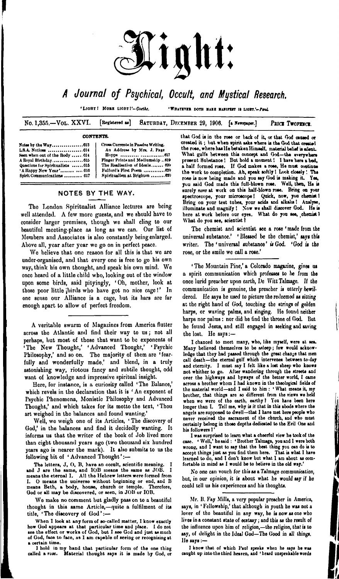

## *Journal of Psychical, Occult, and Mystical Research,*

**'LlOllTf M0BB LIOIIT l'~***GMtkl.* **•WIUTXTBB DOTH BABB BABirtrr II** *UOtH.'-fnl*

No. 1,355.—VOL. XXVI. [Registered as] SATURDAY, DECEMBER 29, 1906. [a Newspaper.] PRICE TwopENCE.

### **CONTEXTS.**

| Seen when out of the Body  614   |  |
|----------------------------------|--|
|                                  |  |
| Questions for Spiritualists  615 |  |
| 'A Happy New Year'  016          |  |
| Spirit Communications  617       |  |

Cross Currents in Passive Writing. L.8.A. Notice«........ ............. ...OU An Addrew by Mnt. J. Page Hopp« .......... Finger Prints and Mediumship ... 619 The Realisation of Ideals........ 020 Fulford's First Poem ............... 020 Spiritualism at Brighton ........ 620

### NOTES BY THE WAY.

The London Spiritualist Alliance lectures are being well attended. A few more guests, and we should have to consider larger premises, though we shall cling to our beautiful meeting-place as long as we can. Our list of Members and Associates is also constantly being enlarged. Above all, year after year we go on in perfect peace.

We believe that one reason for all this is that we are under-organised, and that every one is free to go his own way, think his own thought, and speak his own mind. We once heard of a little child who, looking out of the window upon some birds, said pityingly, 'Oh, mother, look at those poor little ¡birds who have got no nice cage!' In one sense our Alliance is a cage, but its bars arc far enough apart to allow of perfect freedom.

A veritable swarm of Magazines from America flutter across the Atlantic and find their way to us; not all perhaps, but most of those that want to be exponents of 'The New Thought,' 'Advanced Thought,' 'Psychic Philosophy,' and so on. The majority of them are 'fearfully and wonderfully made,' and blend, in a truly astonishing way, riotous fancy and subtile thought, odd want of knowledge and impressive spiritual insight.

Here, for instance, is a curiosity called ' The Balance,' which revels in the declaration that it is ' An exponent of Psychic Phenomena, Monistic Philosophy and Advanced Thought,' and which takes for its motto the text, ' Thou art weighed in the balances and found wanting.'

Well, we weigh one of its Articles, ' The discovery of God,' in the balances and find it decidedly wanting. It informs us that the writer of the book of Job lived more than eight thousand years ago (two thousand six hundred years ago is nearer the mark). It also submits to us the following bit of ' Advanced Thought':—

The letters, J, O, B, have an occult, scientific meaning. I<br>and J are the same, and IOB means the same as JOB. I means the eternal I. All the Hebrew letters were formed from<br>I. O means the universe without beginning or end, and B<br>means Beth, a body, house, church or temple. Therefore,<br>God or all may be discovered, or seen, in JOB or

**Wo make no comment but gladly pass on to a beautiful thought in this same Article,—quite a fulfilment of its title, ' The discovery of God ':—**

When I look at any form of so-called matter, I know exactly how God appears at that particular time and place. I do not see the effect or works of God, but I see God and just as much of God, face to face, as I am capable of seeing or recognising at a certain time.

I hold in my hand that particular form of the one thing called a rose. Material thought says it is made by God, or that God is in the rose or back of it, or that God caused or created it; but when spirit asks where is the God that created the rose, where has He betaken Himself, material belief is silent. What gulfs between this concept and God—the everywhere present Substance ! But hold a moment ! I have here a bod, a half formed rose. If God makes a rose, He must continue the work to completion. Ah, speak softly ! Look closely! The rose is now being made and you aay God is making it. Yes, you Baid God made thia full-blown rose. Well, then. Ha is surely note at work on this half-blown rose. Bring on your spectroscope, your microscope! Quick, now, you chemist! Bring on your test tubes, your acids and alkalis <sup>1</sup> Analyse, illuminate and magnify ! Now we shall discover God. He is here at work before our eyes. What do you see, chemist? What do you see, scientist?

The chemist and scientist see a rose ' made from the universal substanoe.' ' Blessed be the chemist,' says this writer. The 'universal substance' is God. 'God is the rose, or the smile we call a rose.'

' The Mountain Pine,' a Colorado magazine, gives us a spirit communication which professes to be from the once lurid preacher upon earth, De Witt Talmage. If the communication is genuine, the preacher is *utterly* bewildered. He says he used to picture the redeemed as sitting at the right hand of God, touching the strings of golden harps, or waving palms, and singing. He found neither harps nor palms: nor did he find the throne of God. But he found Jesus, and still engaged in seeking and saving the lost. He says :—

I chanced to meet many, who, like myself, were at sea. Many believed themselves to be asleep; few would acknowledge that they had passed through the great change that men call death—the eternal gulf which intervenes between to-day<br>and eternity. I must say I felt like a lost sheep who knows not whither to go. After wandering through the streets and over the highways and byways of the better world, I came across a brother whom I had known in the theological fields of the material world—and I said to him : 'What means it, my brother, that things are so different from the views we held when we were of the earth, earthy? You have been here longer than I. Tell me, why is it that in thia abode where the angels are supposed to dwell—that I hare met here people who never received the sacrament of the church, and who must certainly belong in those depths dedicated to the Evil One and bia followers 1'

I was surprised to learn what a cheerful view he took of the case. ' Well,' he said : ' Brother Talmage, you and I were both wrong, and I want to say that the beat thing you can do is to accept things just as you find them here. That is what I have learned to do, and I don't know but what I am about **<sup>m</sup>** comfortable in mind as I would be to believe in the old way.'

**No one can vouch for this as a Talmage communication, but, in our opinion, it is about what he would say if he could tell us his experiences and his thoughts.**

**Mr. B. Fay Mills, a very popular preacher in America, says, in ' Fellowship,' that although in youth he was not a lover of the beautiful in any way, be is now as one who lives in a constant state of ecstasy; and this as the result of the influence upon him of religion,—the religion, that is to say, of delight in the Idea) God—The Good in all things, lie Bays:—**

I know that of which Paul spesks when he says he was caught up into the third heaven, and ' heard unspeakable words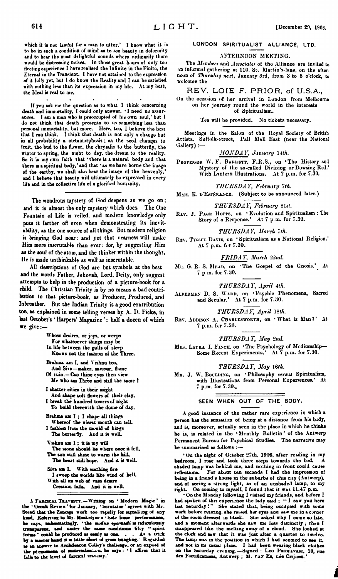**which it is not lawful for \* mtn to utter.' I know what it is to bo in such a condition of mind as to see beauty in deformity and to hear the most delightful sounds where ordinarily there would l>e distressing noises. In thoso great hours of only too fleeting experience I hare realised the Infinite in the Finite, the Eternal in the Transient. I have not attained to tho expression of it fully yet, but <sup>I</sup> do know the Reality and I can be satisfied with nothing less than its expression in my life. At my best, the Ideal is real to me.**

**If you ask me tho question as to what I think concerning death and immortality, I could only answer. I need no assurances. I am a man who is preoccupied of his own soul,' but I do not think that death presents to us something less than personal immortality, but more. Here, too, I believe the best that <sup>1</sup> can think. I think that death is not only a change but in all probability a metamorphosis ; as the seed changes to fruit, tho bud to the flower, the chrysalis to the butterfly, the winter to spring, the night to day, the dream to the reality. So it is my own faith that 'there is a natural body and that there ia a spiritual body,' and that ' as we have borne the image of the earthy, we shall also bear the image of the heavenly,' and I believe that beauty will ultimately be expressed in every life and in the collective life of a glorified hum inity.**

The wondrous mystery of God deepens as we go on: and it is almost the only mystery which does. The One Fountain of Life is veiled, and modern knowledge only puts it farther off even when demonstrating its inevit**ability, as** the one source of all things. But modern religion is bringing God near: and yet that nearness will make Him more inscrutable than ever: for, by suggesting Him as the aoul of the atom, and the thinker witbin the thought, He is made unthinkable as well as inscrutable.

All descriptions of God are but symbols at the best and the words Father, Jehovah, Lord, Deity, only suggest attempts to help in the production of a picture-book for a child. The Christian Trinity is by no means a bad contribution to that picture-book, as Producer, Produced, and Inbreather. But the Indian Trinity is a good contribution too, as explained in some telling verses by A. D. Ficke, in last October's ' Harpers' Magazine ': half a dozen of which we give:—

**Whoso desires, or joys, or weeps** For **whatsoever** things may be **In life between the gulfs of sleep Knows not the fashion of the Three. Brahma am I, and Vishnu too. And Sira—maker, saviour, flame Of ruin.—Can thine eyes then view Me who am Three and still the same <sup>I</sup> I shatter cities in their might And shape soft flowers of their clay. I break the hundred towers ci night To build therewith the dome of day. Brahma am I ; I shape all things Whereof the wisest mouth can telL I fashion from the mould of king« The butterfly. And it is well. Vwhnu am 1; it is my will The stone should lie w here once it fell. The sun still shine to warm the hill. The bean "'ll hope. And it is welL Sira am I. With scathing fire I sweep the worlds hke wind of helL With all its web of rain desire Creation falls. And it is well.**

**<sup>A</sup> <sup>F</sup>seckax. <sup>T</sup>xsvkstt.—Writing <m 'Modern Magic' in the • Occek Review ' tor January, • Scrutator ' agrees with Mr. Steed that the Zanags work too rnpadly for aagnaliing of any kind. Refening to Mr. Maskelyne <sup>a</sup> Side Uooe' performanm,** be says, unheastatingly, "the modus operated is relacionally transparent, and under the same conditions fifty "spirit forms" could be produced as easily as one. . . . As a trick by a master hand it is little short of grow **talk to the level <d faracal travesty.'**

### **LONDON SPIRITUALIST ALLIANCE, LTD.**

### **AFTERNOON MEETING.**

**Tho** *Members* **and .Isroeiate.' of tho Alliance are invited to an informal gathering at 110. St. Martin's-lane, on the afternoon of** *Thursday nest,* **January 3rd, from 3 to 5 o'clock, to welcome tho**

### REV. LOIE F. PRIOR, of U.S.A.,

**On the occasion of her arrival in London from Melbourne on her journey round the world in the interests of Spiritualism.**

**Tea will be provided. No tickets necessary.**

**Meetings in the Salon of the Royal Society of British Artists, Suffolk-strect, Pall Mall East (near the National Gallery) :—**

*MONDAY, January* **14M.**

**Professor W. F. Barrett, F.R.S., on 'The History and Mystery of the so-called Divining or Dowsing Rod.' With Lantern Illustrations. At 7 p.m. for 7.30.**

*THURSDAY, February ~th.*

**Mme. K. d'EsfeRANCB. (Subject to be announced later.)**

*THURSDAY, February* **21sf.**

**Rev. J. Page Hoffs, on • Evolution and Spiritualism : The Story of a Response.' At 7 p.m. for 7.30.**

### *THURSDA* **F, -V.trcÀ 7fA.**

**Rev. Tysscl Davis, on ' Spiritualism as a National Religion.' At 7 p.m. for 7.30.**

*FRIDA* **I',** *March 22nd.*

**Mu. G. R. S. <sup>M</sup>ead, on 'The Gospel of the Gnosis.' At 7 pm. for 7.30.**

*THURSDAY, April ith.*

**Alderman D. S. Ward, on • Psychic Phenomena, Sacred and Secular.' At 7 p.m. for 7.30.**

*THURSDAY, April Xèth.*

**Rev. Addison A. Charlesworth, on ' What is Man ? ' At 7 p.m. for 7.30.**

### *THURSDA* **r,** *May 2nd.*

**Mrs. Lavra I. Finch, on 'The Psychology of Mediumship— Some Recent Experiments.' At 7 p.m. for 7.30.**

### *THURSDAY, May* **16ZÀ.**

**<sup>M</sup>r. J. W. Boclding, on 'Philosophy** *versus* **Spiritualism, with Illustrations from Personal Experiences.' At 7 p.m. for 7.30..**

### **SEEN WHEN OUT OF THE BODY.**

**A good instance of the rather rare experience in which a person has the sensation of being at a distance from his body, and is, moreover, actually seen in the place in which he thinks be is, is related in the ' Mcnthly Bulletin ' of the Antwerp Permanent Bureau for Psychical Studies. The narrative may be summarised as follows :—**

**'On the night of October 27th, 1906, after raiding in my bedroom, I rose and took three steps towards the bed. A shaded lamp was behind me, and nothing in front could cause refl-erfon«, For about ten seconds I had the impression of being in a friend's house in the suburbs of this city (Antwerp),** and of seeing a strong light, as of an unshaded lamp, to my<br>right. On coming to myself, I found that it was 11.47 p.m.

"On the Monday following I visited my friends, and before I<br>had spoken of this experience the lady said; "I saw you here **laat Saturday ! " She stated thit, being occupied with some work before retiring, she raised her eyes sod saw me ia a corner of the room dresved in black. She asked wby I came so late, and a moment afterwards she saw me less distinctly ; then I disappeared like the melting away of a cloud. She looked at the dock and saw that it was just after a quarter to twelve. The lamp was in tbe poûtâoo in which I had seemed to see it,** and not in its usual place. I had been wearing black clothes<br>on the Saturday evening.-Signed : LEO PEIMAVESI, 10, rue<br>des Fortifications, Antwerp ; M. VAN Es, née Crijnen.'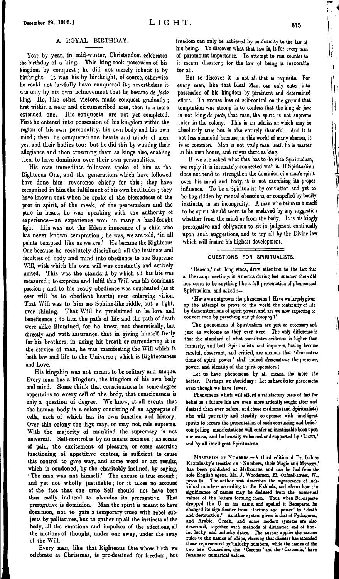### A ROYAL BIRTHDAY.

Year by year, in mid-winter, Christendom celebrates tho birthday of a king. This king took possession of bis kingdom by conquest; he did not merely inherit it by birthright. It was his by birthright, of course, otherwise ho could not lawfully have conquered it; nevertheless it was only by his own achievement that he became *de facto* king. He, like other victors, made conquest gradually; first within a near and circumscribed area, then in a more oxtended one. His conquests arc not yet completed. First he entered into possession of his kingdom within the region of his own personality, his own body and his own mind; then he conquered the hearts and minds of men, yes, and their bodies too: but he did this by winning their allegiance and then crowning them as kings also, enabling them to have dominion over their own personalities.

His own immediate followers spoke of him as the Righteous One, and the generations which have followed have done him reverence chiefly for this; they have recognised in him the fulfilment of his own beatitudes; they have known that when he spake of the blessedness of the poor in spirit, of the meek, of the peacemakers and the pure in heart, he was speaking with the authority of experience—an experience won in many a hard-fought fight. His was not the Edenic innocence of a child who has never known temptation; he was, we are told, 'in all points tempted like as we are.' He became the Righteous One because he resolutely disciplined all the instincts and faculties of body and mind into obedience to one Supreme Will, with which his own will was constantly and actively united. This was the standard by which all his life was measured; to express and fulfil this Will was his dominant passion; and to his ready obedience was vouchsafed (as it ever will be to obedient hearts) ever enlarging vision. That Will was to him no Sphinx-like riddle, but a light, ever shining. That Will he proclaimed to be love and beneficence ; to him the path of life and the path of death were alike illumined, for he knew, not theoretically, but directly and with assurance, that in giving himself freely for his brothers, in using his breath or surrendering it in the service of man, he was manifesting the Will which is both law and life to the Universe; which is Righteousness and Love.

His kingship was not meant to be solitary and unique. Every man has a kingdom, the kingdom of his own body and mind. Some think that consciousness in some degree appertains to every cell of the body, that consciousness is only a question of degree. We know, at all events, that the human body is a colony consisting of an aggregate of cells, each of which has its own function and history. Over this colony the Ego may, or may not, rule supreme. With the majority of mankind the supremacy is not universal. Self-control is by no means common ; an access of pain, the excitement of pleasure, or some assertive functioning of appetitive centres, is sufficient to cause this control to give way, and some word or act results, which is condoned, by the charitably inclined, by saying, 'The man was not himself.' The excuse is true enough; and yet not wholly justifiable; for it takes no account of the fact that the true Self should not have been thus easily induced to abandon its prerogative. That prerogative is dominion. Man the spirit is meant to have dominion, not to gain a temporary truce with rebel subjects by palliatives, but to gather up all the instincts of the body, all the emotions and impulses of the affections, all the motions of thought, under one sway, under the sway of the Will.

Every man, like that Righteous One whose birth we celebrate at Christmas, is pre-destined for freedom; but

freedom can only be achieved by conformity to the law of his being. To discover what that law is, is for every man of paramount importance. To attempt to run counter to it means disaster; for the law of being is inexorable for all.

But to discover it is not all that is requisite. For every man, like that Ideal Man, can only enter into possession of his kingdom by persistent and determined effort. To excuse loss of self-control on the ground that temptation was strong is to confess that the king *de jure* is not king *de facto,* that man, the spirit, is not supreme ruler in the colony. This is an admission which may be absolutely true but is also entirely shameful. And it is not less shameful because, in this world of many shames, it is so common. Man is not truly man until he is master in his own house, and reigns there as king.

If we are asked what this has to do with Spiritualism, wc reply it is intimately connected with it. If Spiritualism does not tend to strengthen the dominion of a man's spirit over his mind and body, it is not exercising its proper influence. To be a Spiritualist by conviction and yet to be hag-ridden by mental obsessions, or compelled by bodily instincts, is an incongruity. A man who believes himself to be spirit should scorn to be enslaved by any suggestion whether from the mind or from the body. It is his kingly prerogative and obligation to sit in judgment continually upon such suggestions, and to try all by the Divine law which will insure his highest development.

### **QUESTIONS FOR SPIRITUALISTS.**

'Reason,'not long since, drew attention to the fact that at the camp meetings in America during last summer there did not seem to be anythieg like a full presentation of phenomenal Spiritualism, and asked :-

\* Have we outgrown the phenomena <sup>1</sup> Hare we largely given up the attempt to prove to the world the continuity of life by demonstrations of spirit power, and are we now expecting to convert men by pteaching our philosophy <sup>1</sup>\*

The phenomena of Spiritualism are just as necessary and just as welcome as they ever were. The only difference is that the standard of what constitutes evidence is higher than formerly, and both Spiritualists and inquirers, having become careful, observant, and critical, are anxious that 'demonstrations of spirit power' shall indeed demonstrate the presence, power, and identity of the spirit operators <sup>1</sup>

Let us have phenomena by all means, the more the better. Perhaps we *ihould* say : Let us hare *better* phenomena even though we have fewer.

Phenomena which will afford a satisfactory basis of fact for belief in a future life are even more ardently sought after and desired than ever before, and those mediums (and Spiritualists) who will patiently and steadily co-operate with intelligent spirits to secure the presentation of such convincing and beliefcompelling manifestations will confer an inestimable boon upon our cause, and be heartily welcomed and supported by 'LIGHT,' and by all intelligent Spiritualists.

**Mvstibies** or **Nvjukss.—**A third edition of Dr. Isidore Kczminsky's treatise on 'Numbers, their Magic and Mystery,' has been published at Melbourne, and can be had from the sole English agent, Mr. J. IVooderson, 23, Oxford-street, (V., price Is. The author first describes the significance of *indi-vidual* numbers according to the Kabbala, and shows how the significance of names may be deduced from the numerical values of the letters forming them. Thus, when Buonaparte dropped the U in his name, and spelled it Bonaparte, he changed its significance from 'fortune and power' to 'death and destruction.' Another system given is that of Pythagoras, and Arabic, Greek, and some modern systems are also described, together with methods of divination and of finding lucky and unlucky dates. The author applies the various rules to the names of ships, showing that disaster has attended those represented by'unlucky numbers, while the names of the two new Cunarders, the ' Caronia' *and* the ' Carmania,' hare fortunate numerical values.

91

 $\mathbf i$ ١ſ t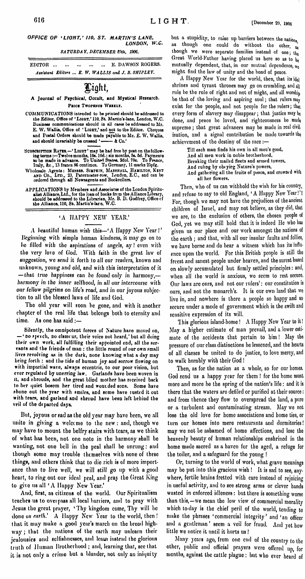*OFFICE OF 'LIGHT,' HO, ST. MARTIN'<sup>S</sup> LANE, LONDON, W.C.*

*SATURDAY, DECEMBER S9th, 1906.*

**EDITOR............................................... E. DAWSON ROGERS.** *Assistant Editors ... E. W. WALLIS and J. B. SHIPLEY.*

# light,

### **A Journal of Psychical, Occult, and Mystical Research. Paros Twopknoe Wkeklt.**

- **COMMUNICATIONS intended to be printed should be addressed to the Editor, Office of 'Light,' 110, St. Martin's-lane, London, W.C. Business communications should in all cases be addressed to Mr. E. W. Wallis, Office of \* Light,\* and not to the Editor. Cheques and Postal Orders should be made payable to Mr. E. W. Wallis, and should invariably be crossed ' — & Co.'**
- **Subscription Ratm.—\* Light ' may be had free by post on the following termsTwelve months, 10s. lOd.; six months, 5s. 5d. Payments to be made in advance. To United States, 2dol. 70c. To France, Italy, Ac., 13 francs 86 centimes. To Germany, 11 marks 25pfg.**
- **Wholesale Agents: Mkssbs. Simpkin, Marshall, Hamilton, Kent and Co., Ltd., 23, Paternoster-row, London, E.C., and can be ordered through all Newsagents and Booksellers.**
- **APPLICATIONS by Members and Associates of the London Spiritualist Alliance,Ltd., for the loan of books from the AllianceLibrary, should be addressed to the Librarian, Mr. B. D. Godfrey, Office cf the Alliance, 110, St. Martin's-lare, W.C.**

A beautiful human wish this— $A$  Happy New Year!' Beginning with simplo human kindness, it may go on to bo filled with the aspirations of angels, ay! even with tho very love of God. With faith in the great law of suggestion, wo send it forth to all our readers, known and unknown, young and old, and with this interpretation of it — that true *happiness can be found only in* harmony, harmony *in tho inner selfhood, in all our intercourse* with our *fellow pilgrims on life's road, and in our joyous* subjection to all tho blessed laws of life and God.

## 'A HAPPY NEW YEAR.'

Tho old year will soon be gone, and with it another chapter of the real life that belongs both to eternity and time. As ono has said :—

but a stupidity, to raise up barriers between the nations. as though one could do without the other, as though we were separate families instead of one; the Great World-Father having placed us here so as to  $b_0$ mutually dependent, that, in our mutual dependence,  $w_0$ might find the law of unity and the bond of peace.

A Happy New Year for the world, then, that its ido) shrines and tyrant thrones may go on crumbling, and all rule be the rule of right and not of might, and all worship bo that of the loving and aspiring soul; that rulers may exist for the people, and not people for the rulers; that every form of slavery may disappear; that justice may be done, and peace bo loved, and righteousness bo made supremo; that great advances may bo made in real civil, isation, and a signal contribution be made towards the achievement of the destiny of the race :-

**Silently, the omnipotent forces of Nature have moved on, — • no f]>€(ch, do clsmcur, their voice not heard,' but all doing their own work, all fulfilling their appointed end, all the servants and the friends of man : the little round of our own small lives revolving as in the dark, none knowing what a day may briDg forth : aDd the tide of human joy and sorrow flowing on with impartial wave, always eccentric, to our poor vision, but ever regulated by unerring law. Garlands have been woven in it, sod shrouds, and the great blind mother has received back to her quiet bosom her tired and woutded sodb. Some have phono out the year with smiles, and some have lusted it out with tears, and garland and shroud have been left behind the veil of the departed days.**

But, joyous or sad as the old year may have been, we all unite in giving a welccme to the new: and, though we may have to mount the belfry stairs with tears, as we think of what has been, not one note in tho harmony shall be wanting, not ono bell in the peal shall be unrung: and though some may trouble themselves with none of these things, and others think that to dio rich is of more importance than to live well, we will still go up with a good heart, to ring out our ideal peal, and pray the Great King to givo us all 'A Happy New Year.' And, first, as citizens of tho world. Our Spiritualism teaches us to ovcipass all local barriers, and to pray with Jesus tho great prayer, 'Thy kingdom come, Thy will be done *on earth.'* A Happy New Year to the world, then ! that it may make a good year's march on tho broad highway ; that the nations of the earth may unlearn their jealousies and selfishnesses, and lcawi instead the glorious truth of Human Brotherhood ; and, learning that, see that it is not only a crime but a blunder, not only an iniquity

Till each man finds his own in all men's good, And all men work in noble brotherhood, Breaking their mailed fleets and armed towers, And ruling by obeying Nature's powers, And gathering all the fruits of peace, and crowned with all her flowers.

Then, who of us can withhold the wish for his country, and refuse to say to old England, 'A Happy New Year!'? For, though we may not have the prejudices of the ancient children of Israel, and may not believe, as they did, that we are, to the exclusion of others, the chosen people of God, yet we may still hold that it is indeed He who has given us our place and our work amongst the nations of the earth ; and that, with all our insular faults and follies, we have borne and do bear a witness which has its influence upon the world. For this British people is still tho freest and sanest people under heaven, and the surest based on slowly accumulated but firmly settled principles: and, when all the world is anxious, wo seem to rest secure. Our laws are ours, and not our rulers': our constitution is ours, and not the monarch's. It is our own land that wc live in, and nowhere is there a people so happy and so secure under a mode of government which is the swift and sensitive expression of its will.

I his glorious island-homo! <sup>A</sup> Happy New Year to it! May a higher estimate of man prevail, and a lower estimate of the accidents that pertain to him! May the pressure of our class distinctions be lessened, and the hearts of all classes be united to do justice, to love mercy, and to walk humbly with their God!

Then, as for the nation as a whole, so for our homes. God send us a happy year for them ! for the home must more and more bo the spring of the nation's life: and it is there that the waters are defiled or purified at their source: and from thence they flow to overspread the land, a pure or a turbulent and contaminating stream. May wo not lose the old love for home associations and home ties, or turn our homes into mere restaurants and dormitories! may we not be ashamed of home affections, and lose the

heavenly beauty of human relationships enshrined in the home made sacred as a haven for the aged, a refuge for the toiler, and a safeguard for tho young !

Or, turning to the world of work, what grave meanings may be put into this gracious wish ! It is sad to see, anywhere, fertile brains fretted with care instead of rejoicing in useful activity, and to see strong arms or clever bands wasted in enforced idleness: but there is something worse than this,—we mean tho low view of commercial morality which to day is the chief peril of the world, tending to make the phrases 'commercial integrity' and 'an officer and a gentleman' seem a veil for fraud. And yet how little we notice it until it hurts us !

Many years ago, from one end of the country to the other, public and official prayers wero offered up, for months, against the cattle plague: but who ever heard of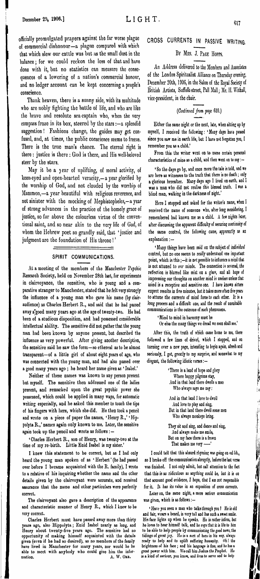officially promulgated prayers against the far worse plague CR0SS CURRENTS IN PASSIVE WRITING of commercial dishonour—a plague compared with which that which slow our cattle was but as the small dust in the BY Mrs. J. PAGE HOPPS. balance; for we could reckon the loss of that and have done with it, but no statistics can measure the consequences of a lowering of a nation's commercial honour, and no ledger account can be kept concerning a people's conscience.

Thank heaven, there is a sunny side, with its multitude who are nobly fighting the battle of life, and who are like the brave and resolute sea-captain who, when the very compass froze in its box, steered by the stars  $:$  --a splendid suggestion ! Fashions change, the guides may get confused, and, at times, the public conscience seems to freeze. There is the true man's chance. The eternal right is there: justice is there: God is there, and His well-beloved steer by the stars.

May it be a jear of uplifting, of moral activity, of keen-eyed and open-hearted veracity,—a year glorified by the worship of God, and not clouded by the worship of Mammon,—a year beautiful with religious reverence, and not sinister with the mocking of Mepbistopbelcs,—a year of strong advances in the practice of the homely grace of justice, so far above the colourless virtue of the conventional saint, and so near akin to the very life of God, of whom tho Hebrew poet so grandly said, that 'justice and judgment are the foundation of His throne!'

### **SPIRIT COMMUNICATIONS.**

At a mooting of the members of the Manchester Psychic Research Society, held on November 28th last, for experiments in clairvoyance, the sensitive, who is young and a comparative stranger to Manchester, stated that he felt very strongly the influence of a young man who gave his name (by clairaudience) as Charles Herbert R., and said that he had passed away a'good many years ago at the age of twenty-two. He had been of a studious disposition, and had possessed considerable intellectual ability. The sensitive did not gather that the young man had been known by anyone present, but described the influence as very powerful. After giving another description, the sensitive said he saw the form—so ethereal as to be almost transparent—of a little girl of about eight years of age, who was connected with the young man, and had also passed over a good many years ago ; he heard her name given as 'Isabel.'

Neither of these names was known to any person present but myself. The sensitive then addressed one of the ladies present, and remarked upon the great psychic power she possessed, which could be applied in many ways, for automatic writing especially, and he asked this member to touch the tips of his fingers with hers, which she did. He then took a pencil and wrote on a piece of paper the names, 'Henry R.,' 'Hippolyta R.,' names again only known to me. Later, the sensitive again took up the pencil and wrote as follows : —

'Charles Herbert R., son of Henry, was twenty-two at the time of my ro-birth. Little Enid Isabel is my sister.'

I knew this statement to be correct, but as I had only heard the young man epokeu of as ' Herbert ' (he had passed over before I became acquainted with the R. family), I wrote to a relative of his inquiring whether the name and the other details given by tho clairvoyant were accurate, and received assurance that the name and other particulars were perfectly correct.

The clairvoyant also gave a description of the appearance and characteristic manner of Henry R., which I knew to be very correct.

Charles Herbert must have passed away more than thirty years ago, also Hippolyta ; Enid Isabel nearly as long, and Henry about twenty-five years ago. The sensitive had no opportunity of making himself acquainted with the details given (even it he had so desired), as no members of the family havo lived iu Manchester for many years, nor would he be able to meet with anybody who could give him the information. A. W. ORR. A. W. ORB.

An Address delivered to the Members and Associates of the London Spiritualist Alliance on Thursday evening, December 20th, 190G, in the Salon of the Royal Society of British Artists, Suffolk-street, Pall Mall; Mr. H. Withall, vice-president, in the chair.

# *(Continued from page* **GIO.)**

**Either the same night or the next, late, when sitting up by myself, I received the following: ' Many days hare pissed since you saw me io earth life, but I have not forgotten you, I remember you as a child.'**

**From this the writer went on to name certain personal characteristics of mine as a child, and then went on to say**

**' So the days go by, and once more the tale is told, and we are here as witnesses to the truth that there is no death; only a glorious hereafter. Maoy days ago <sup>1</sup> lived on earth, and I was a man who did not realise this blessed truth. I was a blind man, walking in the darkness of night.'**

**Here I stopped and asked for tbo writer's name, when <sup>I</sup> received the name of someone who, after long considering, I remembered had kuown me as a child. A few nights later, after discussing the apparent difficulty of securing continuity of the same control, the following came, apparently as an explanation :—**

**' Many things have been said on the subject of individual control, but no one seems to really understand one important point, which is thisit is not possible to influence <sup>a</sup> mind that is not attuned to our minds. The connection is severed, the reflection is blurred like mist on a glass, and all hope of impressing our thoughts on another mind is useless unless that wind is a receptive and sensitive one. I hare known sitters expect results in five minutes, but it takes more often fire years to attune the currents of mind force to each other. It is a long process and a difficult one, and the result of unsuitable communications is the outcome of such phenomena.**

**' Mind to mind in harmony must be**

**Or else the many things we dread we soon shall see.'**

**After this, the truth of which came home to me, there followed a few lines of drivel, which I stopped, and on turning over a new page, intending to begin again, afresh and seriously, I got, greatly to my surprise, and somewhat to my disgust, the following idiotic verses :—**

> **' There is a land of hope and glory Where happy pilgrims stay, And in that land there dwells a man Who always says me nay:**

þ

**MAGE** 

**And in that land I love to dwell And love to play and sing, But in that land there dwell some men** Who always monkeys bring.

**They sit and sing, and dance and sing, And always make me smile, But on my face there is a frown That makes me very —'**

**I could tell that this absurd rhyming was going on ad lib., so I broke off the communication abruptly, before the last verse was finished. I not only admit, but call attention to tbo fact that this is as ridiculous as anything could be, but it is on that account good evidence, I hope, that I am not responsible for it. It has its value in an exposition of cross currents.**

**Later on, the same night, a more serious communication was given, which is as follows**

**' Have you seen a man who talks through you I He is old and fair, wears a beard, is very tall and has such a sweet smile. His face lights np when lie speaks. He is rather infirm, but he loves to hear himself talk, and be says that it is life to him to be able to help people by communicating the good news, the tidings of great joy. He is a sort of hero in his way, always ready to help and to uplift suffering humanity. Oh <sup>I</sup> the brightness of his face; and his language is fine, and he has <sup>a</sup> great power with him. We call him Joshua the Prophet. He is a kind of saviour, you know, and lives to serve and to help**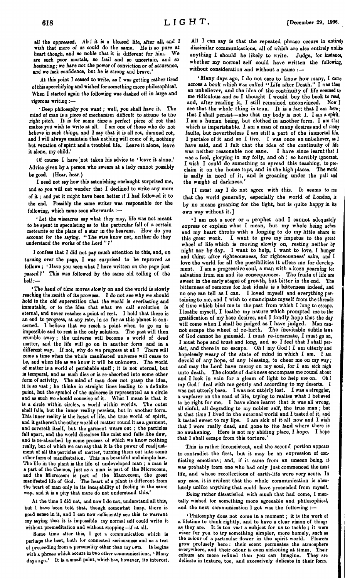all the oppressed. Ah <sup>I</sup> it is a blessed life, after all, and I wish that more of us could do the same. He is so pure at heart though and so noble that it is different for him. We heart though, and so noble that it is different for him. are such poor mortals, so frail and so uncertain, and *bo* hesitating; we hare not the power of conviction or of assurance, and we lack confidence, but he is strong and brave.

At this point I ceased to write, as *I* was getting rather tired ofthisspeechifying and wished forsomething more philosophical. When I started again the following was dashed off in large and vigorous writing:—

\* Deep philosophy you want*; well, you shall have it. The mind* of man is a piece of mechanism difficult to attune to the right pitch. It *is* for some time a perfect piece of rot that makes *you* wish to write at all. I am one of those who do not believe in such things, and I *say that* it is all rot, damned rot, and I will always maintain that nothing will come of it, nothing but vexation of spirit and a troubled life. Leave it alone, leave it alone, my child.'

Of course I have 'not taken his advice to ' leave it alone.' Advice given by a person who swears at a lady cannot possibly be good. (Hear, hear.)

I need not say how this astonishing onslaught surprised me, and so you will not wonder that I declined to write any more of it; and yet it might have been better if I had followed it to the end. Possibly the same writer was responsible for the following, which came soon afterwards :-

\* Let the wiseacres say what they may, life was not meant to be spent in speculating as to the particular fall of a certain meteorite or the place of a star in the heavens. How do you account for the saying. " The wise know not, neither do they understand the works of the Lord"?'

I confess that I did not pay much attention to this, and, on turning over the page, I was surprised to be reproved as follows ; \* Have you seen what I have written on the page just passed *1'* This was followed by the same old tolling of the bell .—

\* The hand of time moves slowly on and the world is slowly reaching the zenith of its prowess. I do not see why we should hold to the old superstition that the world *is* everlasting and immutable, or to the idea that what we call evolution is eternal, and never reaches a point of rest. I hold that there is an end to progress, at any rate, in so far as this planet is concerned. I believe that we reach a point when to go on is impossible and to rest is the only solution. The past will then crumble away ; the universe will become a world of dead matter, and the life will go on in another form and in a different way. If not, why do we progress at all *<sup>1</sup>* There will come a time when the whole manifested universe will cease to be, and when life as we know it will be unknown. The world of matter is a world of perishable stuff ; it is not eternal, but is temporal, and as such dies or is re-absorbed into some other form of activity. The mind of man does not grasp the idea, it is so vast; he thinks in straight lines leading to a definite point, but the symbol of the universe is represented as a circle and as such wo should conceive of it. What I mean is that it is a circle within circles, a world within worlds. The outer shell falls, but the inner reality persists, but in another form. This inner reality is the heart of life, the true world of spirit, and it gathereth the other world of matter round it as a garmont, and covereth itself, but the garment wears out ; the particles fall apart, and the world dissolves like mist and falls like dew, and ia re-absorbed by some process of which we know nothing really, but of which we can say that it is the power of readjustment of all the particles of matter, turning them out into some other form of manifestation. This is a beautiful and simple law. The life in the plant is the life of undeveloped man ; a man ia a part of the Cosmos, just as a man is part of the Microcosm, and the Microcosm is part of the Macrocosm, tho great manifested life of God. The heart *of a* plant is different from the heart of man only in its incapability of feeling in the samo way, and it ia a pity that more do not understand this.'

At the time I did not, and now I do not, understand all this, but 1 have been told that, though somewhat hazy, there is good sense in it, and I can now sufficiently see this to warrant my saying that it is impossible my normal self could write it without premeditation and without stopping—it at all.

Some time after this, I got a communication which is perhaps the best, both for connected seriousness and as a test of proceeding from a personality other than my own. It begins with a phrase which occurs in two other communications, ' Many days ago.' It is a small point, which has, however, its interest.

All I can say is that the repeated phrase occurs in entirely dissimilar communications, all of which are also entirely unlike anything I should be likely to write. Judge, for instance, whether my normal self could have written the following, without consideration and without a pause :—

\* Many days ago, I do not care to know how many, I can across a book which was called *"Life* after Death." I was the an unbeliever, and the idea of the continuity of life seemed to me ridiculous and so I thought I would buy the book to read, and, after reading it, I still remained unconvinced. Now I see that the whole thing is true. It is a fact that I am here; that I shall persist—also that my body is not I. I am a spirit. I am a human being, but clothed in another form. I am thal which is imperishable. I am a man of many desires and of manj faults, but nevertheless I am still a part of the immortal life, I partake of it and so I live. I was once an unbeliever, *as* <sup>1</sup> have said, and I felt that the idea of the continuity of life was neither reasonable nor sane. I have since learnt that <sup>I</sup> was a fool, glorying in my folly, and oh <sup>1</sup> so horribly ignorant. I wish I could do something to spread this teaching, to pro-<br>claim it on the house tops, and in the high places. The world claim it on the house tops, and in the high places. The world is sadly in need of it, and is groaning under the pall and the weight of darkness.'

[I must say I do not agree with this. It seems to me that the world generally, especially the world of London, is by no means groaning for the light, but is quite happy in its own way without it.]

'I am not a seer or a prophet and I cannot adequately express or explain what I mean, but my whole being aches and my heart throbs with a longing to do my little share in this great work. I want to give my impetus to the great I want to give my impetus to the great wheel of life which is moving slowly on, resting neither by night nor by day. I want to help, I want to love, I hunger and thirst after righteousness, for righteousness' sake, and I love the world for all the possibilities it offers me for development. I am a progressive soul, a man with a keen yearning for Balvation from sin and its consequences. The fruits of life are sweet in the early stages of growth, but bitter in the end. The bitterness of remorse for lost ideals is a bitterness indeed, and no one can tell as I can. I loved myself and everything pertaining to me, and I wish to emancipate myself from the threads of time which bind me to the past from which I long to escape. I loathe myself, I loathe my nature which prompted me to the gratification of my base desires, and I fondly hope that the day will come when I shall be judged as I have judged. Man cannot escape the wheel of re-birth. The inevitable subtle laws of God cannot be gainsaid. I must re-incarnate, I must go on, I must hope and trust and long, and so I feel that I shall persist, and there is no escape. Oh <sup>1</sup> my God <sup>1</sup> I am utterly and hopelessly weary of the state of mind in which I am. I am devoid of any hope, of any blessing, to cheer me on my way; and may the Lord have mercy on my soul, for I am sick nigh unto death. The clouds of darkness encompass me round about and I look in vain for a gleam of light to help me on. Oh <sup>I</sup> my God I deal with me gently and according to my deserts. I was not utterly base. I was not utterly lost. I was a struggler, was not utterly base. I was not utterly lost. a wayfarer on the road of life, trying to realise what I believed to be right for me. I have since learnt that it was all wrong, all sinful, all degrading to my nobler self, the true man ; but at that time I lived in the external world and I tasted of it, and it tasted sweet to my lips. I am sick of it all now and *I* wish that I were really dead, and gone to the land whore there is no awakening. Here is not my abiding place, I hope. I hope that I shall escape from this torture.'

This is rather inconsistent, and the second portion appoars to contradict the first, but it may be an expression of conflicting emotions ; and, if it came from an unseen boing, it was probably from one who had only just commenced the next life, and whoso recollections of earth-life were vory acute. In any case, it is evident that the whole communication is absolutely unliko anything that could have proceeded from myself.

Being rather dissatisfied with muoh that had come, I mentally wished for something more agreeable and philosophical, and the next communication I got was the following :-

\* Philosophy does not come in a moment ; it is tho work of a lifetime to think rightly, and to have a clear vision of things as thoy are. It ia too vast a subject for us to tackle ; it wcro wiser for you to try something simpler, more homoly, such as tho colour of a particular flower in tho spirit world. Flowers grow profusely here: their scent permeates the atmosphere everywhere, and their odour is even sickening at times. Their everywhere, and their odour is oven sickening at times. Their colours are more refined than you can imagine. delicato in texture, too, and excessively delicate in their form.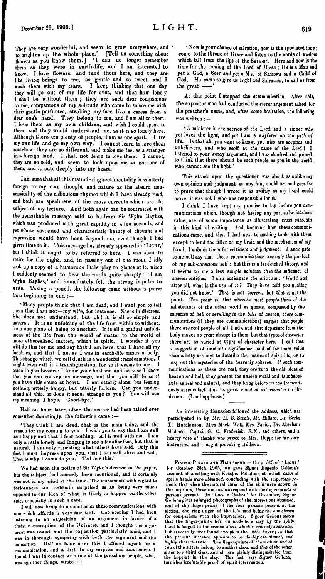**They are very wonderful, aDtl seem to grow everywhere, and 'to brighten up the whole place.' [Tell us something about (lowers as you know them.] \*1 can no longer remember them as they were in earth-life, and I am interested to know. I love (lowers, and tend them here, and they are like living beings to me, so gentle and so sweet, and I wash them with my tears. I keep thinking that one day they will go out of my life for ever, and then how lonely <sup>I</sup> shall be without them ; they are such dear companions to me, companions of my solitude who come to solace me with their gentle perfumes, stroking my face like a caress from a dear one's hand. They belong to me, and I am all to them. I love them as my own children, and wish I could speak to them, and they would understand me, as it is so lonely here. Although there are plenty of people, I am as one apart. I live my own life and go my own way. I cannot learn to Jove them somehow, they are so different, and make me feel as a stranger in a foreign land. <sup>1</sup> shall not learn to love them. I cannot, they are so cold, and seem to look upon me as not one of them, and it cuts deeply into my heart.'**

**I am sure that all this maundering sentimentality is as utterly foreign to my own thought and nature as the absurd nonsensicality of the ridiculous rhymes which I have already read, and both are specimens of the cross currents which are the subject of my lecture. And both again can be contrasted with the remarkable message said to be from Sir Wyke Bayliss, which was produced with great rapidity in a few seconds, and yet whose sustained and characteristic beauty of thought and expression would have been beyond me, even though I had given time to it. This message has already appeared in 'Light,' but I think it ought to be referred to here. I was about to retire for the night, and, in passing out of the room, I idly took up a copy of a humorous little play to glance at it, when I suddenly seemed to hear the words quite sharply : ' I am Wyke Bayliss,' and immediately felt the strong impulse to write. Taking a pencil, the following came without a pause from beginning to end ; —**

**' Many people think that I am dead, and I want you to tell them that 1 am not—my wife, for instance. She is in distress. She does not understand, but oh <sup>I</sup> it is all so simple and natural. It is an unfolding of the life from within to without, from one plane of being to another. It is all a gradual unfoldment of the life from the world of matter to the world of more etherealised matter, which is spirit. I wonder if you will do this for me and say that I am here, that I have all my faculties, and that I am as I was in earth-life minus a body. This change which we call death is a wonderful transformation, I might even call it a transfiguration, for so it seems to me. I came to you because I know your husband and because I know that you can convey my message, and that you will do so if you have this cause at heart. I am utterly alone, but fearing nothing, utterly happy, but utterly forlorn. Can you understand all this, or does it seem strange to you** *<sup>1</sup>* **You will see my meaning, I hope. Good-bye."**

**Half an hour later, after the matter had been talked over somewhat doubtingly, the following came :—**

'They think I am dead, that is the main thing, and the reason for my coming to you. I wish you to say that I am well and hanny and that I fear nothing. All is well with me. I am and happy and that  $\tilde{I}$  fear nothing. All is well with me. only a little lonely and longing to see a familiar face, but that is natural. I am only repeating what others have said. Only this fact I must impress upon you, that <sup>1</sup> am still alive and well. That is why I come to you. Tell her thia.'

Wo had seen the notice of Sir Wyke's decease in the paper, but the subject had scarcely been mentioned, and it certainly was not in my mind at the time. The statements with regard to forlornness and solitude surprised us as being very much opposed to our idea of what is likely to happen on the other side, especially in such a case.

I will now bring to a conclusion those communications, with one which affords a very fair test. One evening I had been listening to an exposition of an argument in favour of a theistic conception of the Universe, and I thought the argument was touud, and the exposition particularly lucid, and I was in thorough sympathy with both the argument and the exposition. Half an hour after this I offered myself for a communication, and a little to iny surprise and amusement I found <sup>1</sup> was in contact with one of the preaching people, who, among other things, wrote :-

 **' Now is your chance ofsalvation, now is the appointed time; come to the throne of Grace and listen to the words of wisdom which fall from the lips of the Saviour. Here and nor is the time for the coming of the Lord of Hosts ; He is a Man and yet a God, a Seer and yet a Mtn of Sorrows aud a Child** *of God. He came* **to give us L'ghtand Salvation, to call us from** the great -

**At this point I stopped the communication, After this, the expositor who had conducted the clever argument asked for the preacher's name, and, after some hesitation, the following was written**

**' A minister in the service of the L >rd, and a sinner who yet loves the light, and yet** *I* **am a wayfarer on the path of life. Is that all you want to know, you who are sceptics and unbelievers, and who** *scoff* **at the name of the Lord! I listened to your wordy argument, and I was shocked and pained to think that there should be such people as you in the world who cannot see the light.'**

**This attack upon the questioner was about as ualike my own opinion and judgment as anything could be, and goes far to prove that though I wrote it as swiftly as my hand could move, it was not I who was responsible for it.**

**I think I have kept my promise to lay before you communications which, though not having any particular intrinsic value, are of some importance as illustrating cross currents in this kind of writing. And, knowing how these communications came, and that I had next to nothiog to do with them except to lend the filter of my brain and the mechanism of my hand, I submit them for criticism and judgment. I anticipate some will say that these communications are only the product of my sub-conscious seif; but this is <sup>a</sup> far-fetched theory, and it seems to me a less simple solution thin the influence of unseen entities. I also anticipate the criticism: ' Well <sup>1</sup> aud after all, what is the use of it** *<sup>1</sup>* **They hive told you nothing you did not know.' That is not correct, but that is not the point. The point is, that whereas most** *people think of tte* **inhabitants of the other world as ghosts, compass.-d by the miseries of hell or rerelling in the bliss of hesreu, these communications (if they are communications) suggest that people there are real people of all kinds, and thit departure from the body makes no great change in them, but that types of character there are as varied as typ.-s of character hero. I call that a suggestion of immense significance, and of far more value than a lofty attempt to describe the nature of spirit-life, or to map out the mysteries of the heavenly spheres. If such communications as these are real, they overturn the old ideas of heaven and bell, they present the unseen world and its inhabitants as real and natural, and they bring before us the tremendously serious fact that \* a great cloud of witnesses ' is no idle dream. (Loud applause.)**

An interesting discussion followed the Address, which was participated in by Mr. H. B. Steele, Mr. Millard, Dr. Berks T. Hutchinson, Mies Mack Wall, Mrs. Paulet, Dr. Abraham Wallace, Captain G. C. Frederick, R.N., and others, and a hearty vote of thanks was passed to Mrs. Hopps for her very instructive and tbougbt-provokiog Address.

FINGER-PRINTS AND MEDIUMSHIP.- On p. 513 of 'LIGHT' for October 28th, 1905, we gave Signor Eugenio Bellona's account of a sitting with Eusapia Paladino, at which casts of spirit hands were obtained, concluding with the important remark that when the natural lines of the *skin* were shown *in* the imprints, these did not correspond with the finger-prints of persons present. Io 'Luce e Ombra' for December, *Signor* Gellona gives enlarged photographs of the impressions obtained, and of the finger-prints of the four persons present at the sitting, the ring-finger of the left hand being the one chosen<br>for comparison with the impressions. Signor Gellona states<br>that the finger-prints left on modeller's clay by the spirit<br>hand belonged to the second class, whic but is scarcely ever found except in the little finger ; so that the present instance appears to be doubly exceptional, and highly characteristic. The finger-prints of the medium and of two of the sitters belong to another class, and that of the other<br>sitter to a third class, and all are plainly distinguishable from<br>the imprint in the clay. This fact, says Signor Gellona,<br>furnishes irrefutable proof of sp